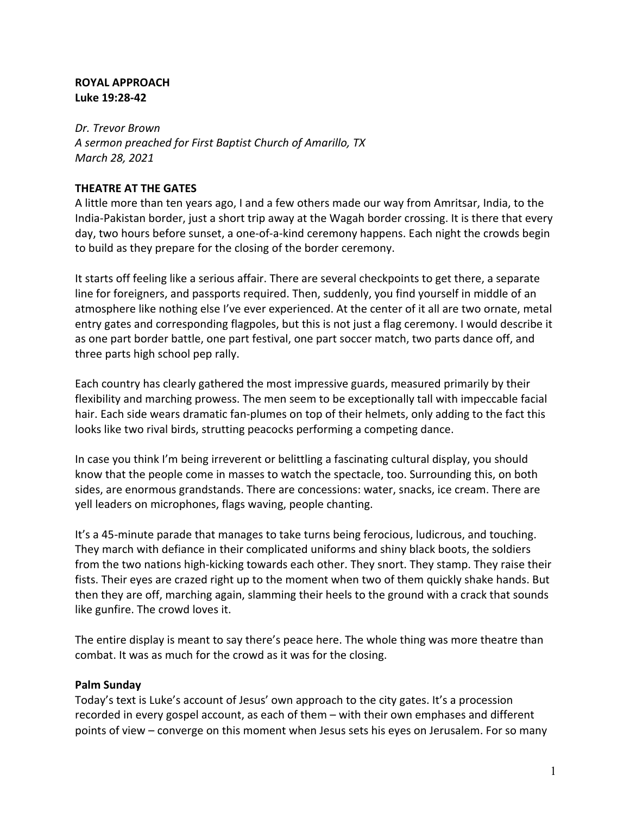### **ROYAL APPROACH Luke 19:28-42**

*Dr. Trevor Brown A sermon preached for First Baptist Church of Amarillo, TX March 28, 2021*

## **THEATRE AT THE GATES**

A little more than ten years ago, I and a few others made our way from Amritsar, India, to the India-Pakistan border, just a short trip away at the Wagah border crossing. It is there that every day, two hours before sunset, a one-of-a-kind ceremony happens. Each night the crowds begin to build as they prepare for the closing of the border ceremony.

It starts off feeling like a serious affair. There are several checkpoints to get there, a separate line for foreigners, and passports required. Then, suddenly, you find yourself in middle of an atmosphere like nothing else I've ever experienced. At the center of it all are two ornate, metal entry gates and corresponding flagpoles, but this is not just a flag ceremony. I would describe it as one part border battle, one part festival, one part soccer match, two parts dance off, and three parts high school pep rally.

Each country has clearly gathered the most impressive guards, measured primarily by their flexibility and marching prowess. The men seem to be exceptionally tall with impeccable facial hair. Each side wears dramatic fan-plumes on top of their helmets, only adding to the fact this looks like two rival birds, strutting peacocks performing a competing dance.

In case you think I'm being irreverent or belittling a fascinating cultural display, you should know that the people come in masses to watch the spectacle, too. Surrounding this, on both sides, are enormous grandstands. There are concessions: water, snacks, ice cream. There are yell leaders on microphones, flags waving, people chanting.

It's a 45-minute parade that manages to take turns being ferocious, ludicrous, and touching. They march with defiance in their complicated uniforms and shiny black boots, the soldiers from the two nations high-kicking towards each other. They snort. They stamp. They raise their fists. Their eyes are crazed right up to the moment when two of them quickly shake hands. But then they are off, marching again, slamming their heels to the ground with a crack that sounds like gunfire. The crowd loves it.

The entire display is meant to say there's peace here. The whole thing was more theatre than combat. It was as much for the crowd as it was for the closing.

### **Palm Sunday**

Today's text is Luke's account of Jesus' own approach to the city gates. It's a procession recorded in every gospel account, as each of them – with their own emphases and different points of view – converge on this moment when Jesus sets his eyes on Jerusalem. For so many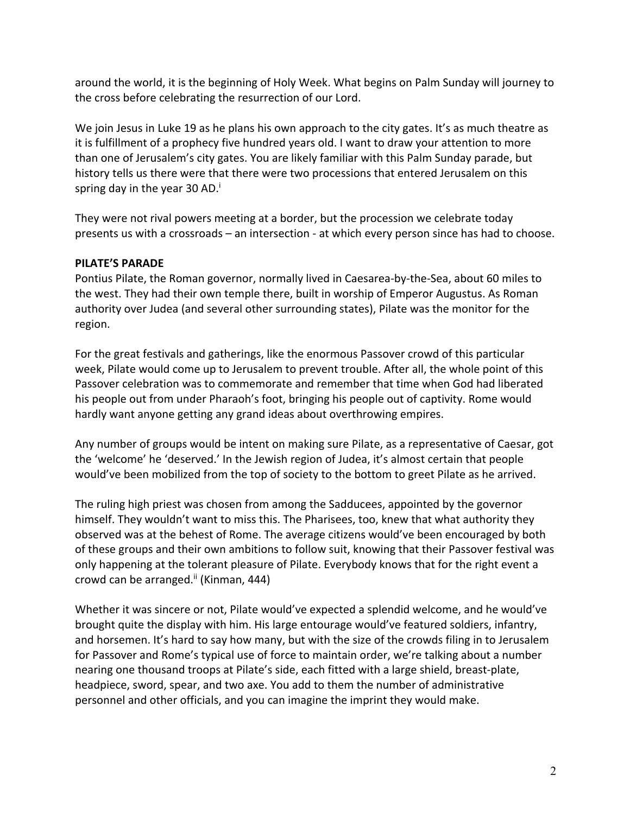around the world, it is the beginning of Holy Week. What begins on Palm Sunday will journey to the cross before celebrating the resurrection of our Lord.

We join Jesus in Luke 19 as he plans his own approach to the city gates. It's as much theatre as it is fulfillment of a prophecy five hundred years old. I want to draw your attention to more than one of Jerusalem's city gates. You are likely familiar with this Palm Sunday parade, but history tells us there were that there were two processions that entered Jerusalem on this spring day in the year 30 AD.<sup>i</sup>

They were not rival powers meeting at a border, but the procession we celebrate today presents us with a crossroads – an intersection - at which every person since has had to choose.

## **PILATE'S PARADE**

Pontius Pilate, the Roman governor, normally lived in Caesarea-by-the-Sea, about 60 miles to the west. They had their own temple there, built in worship of Emperor Augustus. As Roman authority over Judea (and several other surrounding states), Pilate was the monitor for the region.

For the great festivals and gatherings, like the enormous Passover crowd of this particular week, Pilate would come up to Jerusalem to prevent trouble. After all, the whole point of this Passover celebration was to commemorate and remember that time when God had liberated his people out from under Pharaoh's foot, bringing his people out of captivity. Rome would hardly want anyone getting any grand ideas about overthrowing empires.

Any number of groups would be intent on making sure Pilate, as a representative of Caesar, got the 'welcome' he 'deserved.' In the Jewish region of Judea, it's almost certain that people would've been mobilized from the top of society to the bottom to greet Pilate as he arrived.

The ruling high priest was chosen from among the Sadducees, appointed by the governor himself. They wouldn't want to miss this. The Pharisees, too, knew that what authority they observed was at the behest of Rome. The average citizens would've been encouraged by both of these groups and their own ambitions to follow suit, knowing that their Passover festival was only happening at the tolerant pleasure of Pilate. Everybody knows that for the right event a crowd can be arranged.<sup>ii</sup> (Kinman, 444)

Whether it was sincere or not, Pilate would've expected a splendid welcome, and he would've brought quite the display with him. His large entourage would've featured soldiers, infantry, and horsemen. It's hard to say how many, but with the size of the crowds filing in to Jerusalem for Passover and Rome's typical use of force to maintain order, we're talking about a number nearing one thousand troops at Pilate's side, each fitted with a large shield, breast-plate, headpiece, sword, spear, and two axe. You add to them the number of administrative personnel and other officials, and you can imagine the imprint they would make.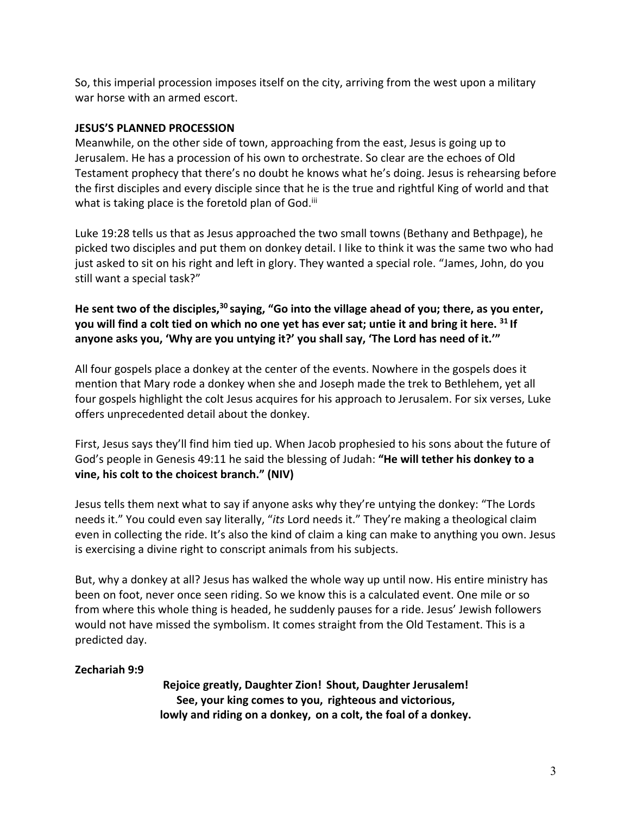So, this imperial procession imposes itself on the city, arriving from the west upon a military war horse with an armed escort.

#### **JESUS'S PLANNED PROCESSION**

Meanwhile, on the other side of town, approaching from the east, Jesus is going up to Jerusalem. He has a procession of his own to orchestrate. So clear are the echoes of Old Testament prophecy that there's no doubt he knows what he's doing. Jesus is rehearsing before the first disciples and every disciple since that he is the true and rightful King of world and that what is taking place is the foretold plan of God.<sup>iii</sup>

Luke 19:28 tells us that as Jesus approached the two small towns (Bethany and Bethpage), he picked two disciples and put them on donkey detail. I like to think it was the same two who had just asked to sit on his right and left in glory. They wanted a special role. "James, John, do you still want a special task?"

**He sent two of the disciples,30 saying, "Go into the village ahead of you; there, as you enter, you will find a colt tied on which no one yet has ever sat; untie it and bring it here. <sup>31</sup> If anyone asks you, 'Why are you untying it?' you shall say, 'The Lord has need of it.'"**

All four gospels place a donkey at the center of the events. Nowhere in the gospels does it mention that Mary rode a donkey when she and Joseph made the trek to Bethlehem, yet all four gospels highlight the colt Jesus acquires for his approach to Jerusalem. For six verses, Luke offers unprecedented detail about the donkey.

First, Jesus says they'll find him tied up. When Jacob prophesied to his sons about the future of God's people in Genesis 49:11 he said the blessing of Judah: **"He will tether his donkey to a vine, his colt to the choicest branch." (NIV)**

Jesus tells them next what to say if anyone asks why they're untying the donkey: "The Lords needs it." You could even say literally, "*its* Lord needs it." They're making a theological claim even in collecting the ride. It's also the kind of claim a king can make to anything you own. Jesus is exercising a divine right to conscript animals from his subjects.

But, why a donkey at all? Jesus has walked the whole way up until now. His entire ministry has been on foot, never once seen riding. So we know this is a calculated event. One mile or so from where this whole thing is headed, he suddenly pauses for a ride. Jesus' Jewish followers would not have missed the symbolism. It comes straight from the Old Testament. This is a predicted day.

### **Zechariah 9:9**

**Rejoice greatly, Daughter Zion! Shout, Daughter Jerusalem! See, your king comes to you, righteous and victorious, lowly and riding on a donkey, on a colt, the foal of a donkey.**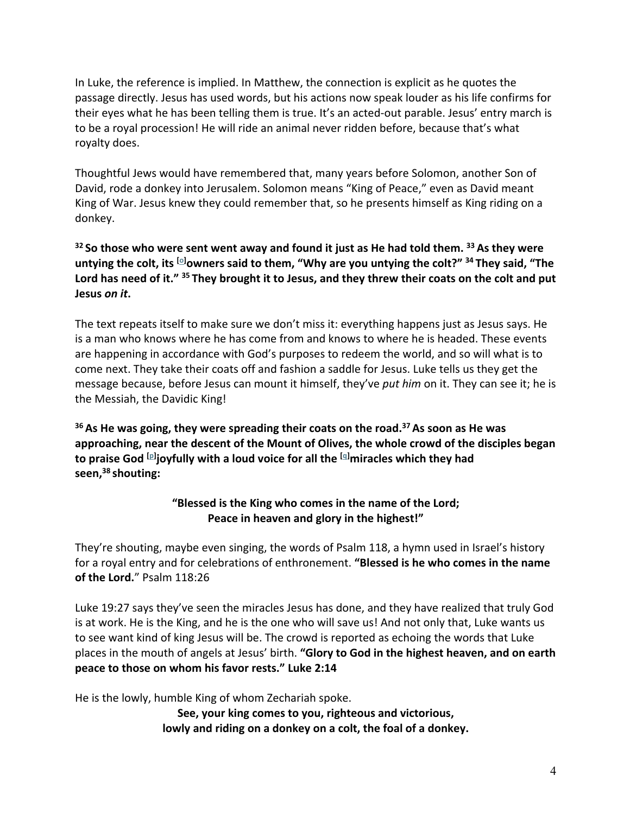In Luke, the reference is implied. In Matthew, the connection is explicit as he quotes the passage directly. Jesus has used words, but his actions now speak louder as his life confirms for their eyes what he has been telling them is true. It's an acted-out parable. Jesus' entry march is to be a royal procession! He will ride an animal never ridden before, because that's what royalty does.

Thoughtful Jews would have remembered that, many years before Solomon, another Son of David, rode a donkey into Jerusalem. Solomon means "King of Peace," even as David meant King of War. Jesus knew they could remember that, so he presents himself as King riding on a donkey.

# **<sup>32</sup> So those who were sent went away and found it just as He had told them. <sup>33</sup> As they were untying the colt, its [o] owners said to them, "Why are you untying the colt?" <sup>34</sup> They said, "The Lord has need of it." <sup>35</sup> They brought it to Jesus, and they threw their coats on the colt and put Jesus** *on it***.**

The text repeats itself to make sure we don't miss it: everything happens just as Jesus says. He is a man who knows where he has come from and knows to where he is headed. These events are happening in accordance with God's purposes to redeem the world, and so will what is to come next. They take their coats off and fashion a saddle for Jesus. Luke tells us they get the message because, before Jesus can mount it himself, they've *put him* on it. They can see it; he is the Messiah, the Davidic King!

**<sup>36</sup> As He was going, they were spreading their coats on the road.37 As soon as He was approaching, near the descent of the Mount of Olives, the whole crowd of the disciples began to praise God [p] joyfully with a loud voice for all the [q] miracles which they had seen,38 shouting:**

# **"Blessed is the King who comes in the name of the Lord; Peace in heaven and glory in the highest!"**

They're shouting, maybe even singing, the words of Psalm 118, a hymn used in Israel's history for a royal entry and for celebrations of enthronement. **"Blessed is he who comes in the name of the Lord.**" Psalm 118:26

Luke 19:27 says they've seen the miracles Jesus has done, and they have realized that truly God is at work. He is the King, and he is the one who will save us! And not only that, Luke wants us to see want kind of king Jesus will be. The crowd is reported as echoing the words that Luke places in the mouth of angels at Jesus' birth. **"Glory to God in the highest heaven, and on earth peace to those on whom his favor rests." Luke 2:14**

He is the lowly, humble King of whom Zechariah spoke.

**See, your king comes to you, righteous and victorious, lowly and riding on a donkey on a colt, the foal of a donkey.**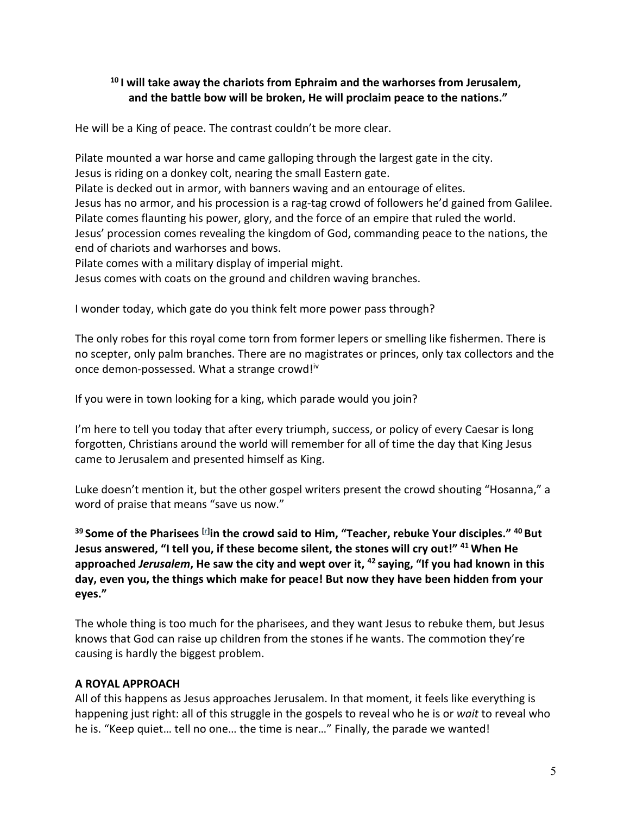# **<sup>10</sup> I will take away the chariots from Ephraim and the warhorses from Jerusalem, and the battle bow will be broken, He will proclaim peace to the nations."**

He will be a King of peace. The contrast couldn't be more clear.

Pilate mounted a war horse and came galloping through the largest gate in the city. Jesus is riding on a donkey colt, nearing the small Eastern gate. Pilate is decked out in armor, with banners waving and an entourage of elites. Jesus has no armor, and his procession is a rag-tag crowd of followers he'd gained from Galilee. Pilate comes flaunting his power, glory, and the force of an empire that ruled the world. Jesus' procession comes revealing the kingdom of God, commanding peace to the nations, the end of chariots and warhorses and bows. Pilate comes with a military display of imperial might.

Jesus comes with coats on the ground and children waving branches.

I wonder today, which gate do you think felt more power pass through?

The only robes for this royal come torn from former lepers or smelling like fishermen. There is no scepter, only palm branches. There are no magistrates or princes, only tax collectors and the once demon-possessed. What a strange crowd!<sup>iv</sup>

If you were in town looking for a king, which parade would you join?

I'm here to tell you today that after every triumph, success, or policy of every Caesar is long forgotten, Christians around the world will remember for all of time the day that King Jesus came to Jerusalem and presented himself as King.

Luke doesn't mention it, but the other gospel writers present the crowd shouting "Hosanna," a word of praise that means "save us now."

**<sup>39</sup> Some of the Pharisees [r] in the crowd said to Him, "Teacher, rebuke Your disciples." <sup>40</sup> But Jesus answered, "I tell you, if these become silent, the stones will cry out!" <sup>41</sup> When He approached** *Jerusalem***, He saw the city and wept over it, <sup>42</sup> saying, "If you had known in this day, even you, the things which make for peace! But now they have been hidden from your eyes."**

The whole thing is too much for the pharisees, and they want Jesus to rebuke them, but Jesus knows that God can raise up children from the stones if he wants. The commotion they're causing is hardly the biggest problem.

# **A ROYAL APPROACH**

All of this happens as Jesus approaches Jerusalem. In that moment, it feels like everything is happening just right: all of this struggle in the gospels to reveal who he is or *wait* to reveal who he is. "Keep quiet… tell no one… the time is near…" Finally, the parade we wanted!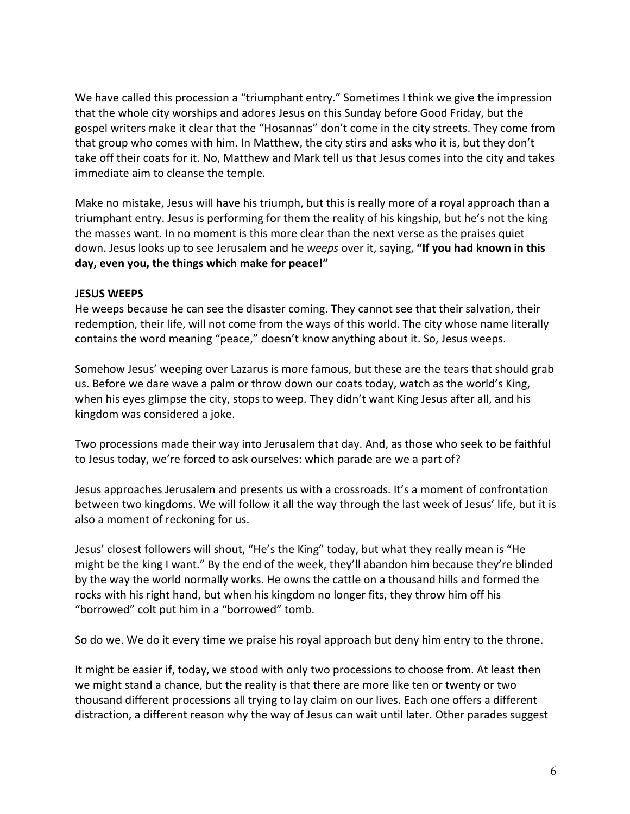We have called this procession a "triumphant entry." Sometimes I think we give the impression that the whole city worships and adores Jesus on this Sunday before Good Friday, but the gospel writers make it clear that the "Hosannas" don't come in the city streets. They come from that group who comes with him. In Matthew, the city stirs and asks who it is, but they don't take off their coats for it. No, Matthew and Mark tell us that Jesus comes into the city and takes immediate aim to cleanse the temple.

Make no mistake, Jesus will have his triumph, but this is really more of a royal approach than a triumphant entry. Jesus is performing for them the reality of his kingship, but he's not the king the masses want. In no moment is this more clear than the next verse as the praises quiet down. Jesus looks up to see Jerusalem and he *weeps* over it, saying, **"If you had known in this day, even you, the things which make for peace!"**

## **JESUS WEEPS**

He weeps because he can see the disaster coming. They cannot see that their salvation, their redemption, their life, will not come from the ways of this world. The city whose name literally contains the word meaning "peace," doesn't know anything about it. So, Jesus weeps.

Somehow Jesus' weeping over Lazarus is more famous, but these are the tears that should grab us. Before we dare wave a palm or throw down our coats today, watch as the world's King, when his eyes glimpse the city, stops to weep. They didn't want King Jesus after all, and his kingdom was considered a joke.

Two processions made their way into Jerusalem that day. And, as those who seek to be faithful to Jesus today, we're forced to ask ourselves: which parade are we a part of?

Jesus approaches Jerusalem and presents us with a crossroads. It's a moment of confrontation between two kingdoms. We will follow it all the way through the last week of Jesus' life, but it is also a moment of reckoning for us.

Jesus' closest followers will shout, "He's the King" today, but what they really mean is "He might be the king I want." By the end of the week, they'll abandon him because they're blinded by the way the world normally works. He owns the cattle on a thousand hills and formed the rocks with his right hand, but when his kingdom no longer fits, they throw him off his "borrowed" colt put him in a "borrowed" tomb.

So do we. We do it every time we praise his royal approach but deny him entry to the throne.

It might be easier if, today, we stood with only two processions to choose from. At least then we might stand a chance, but the reality is that there are more like ten or twenty or two thousand different processions all trying to lay claim on our lives. Each one offers a different distraction, a different reason why the way of Jesus can wait until later. Other parades suggest